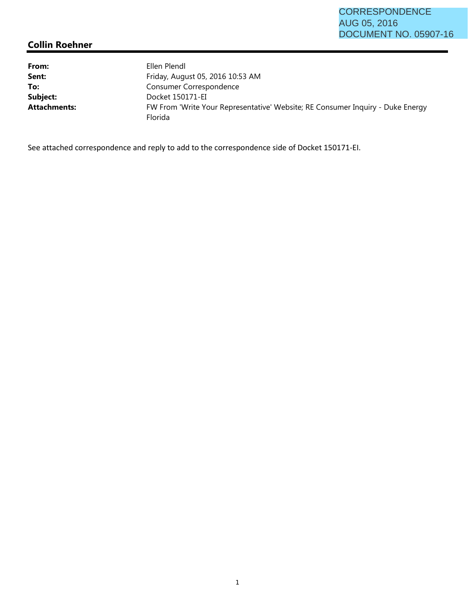## **Collin Roehner**

| From:               | Ellen Plendl                                                                              |
|---------------------|-------------------------------------------------------------------------------------------|
| Sent:               | Friday, August 05, 2016 10:53 AM                                                          |
| To:                 | Consumer Correspondence                                                                   |
| Subject:            | Docket 150171-EI                                                                          |
| <b>Attachments:</b> | FW From 'Write Your Representative' Website; RE Consumer Inquiry - Duke Energy<br>Florida |

See attached correspondence and reply to add to the correspondence side of Docket 150171-EI.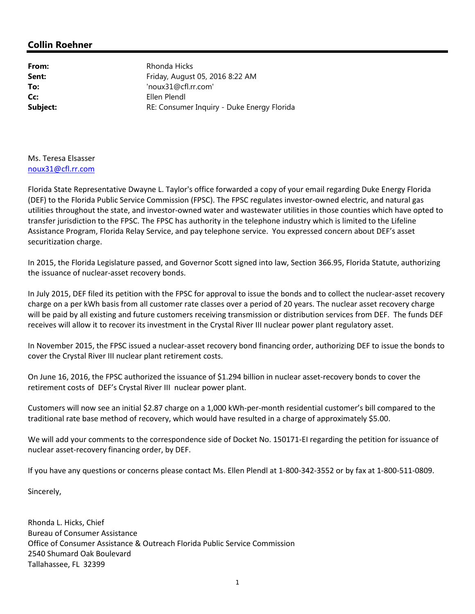## **Collin Roehner**

**From:** Rhonda Hicks **Sent:** Friday, August 05, 2016 8:22 AM **To:** 'noux31@cfl.rr.com' **Cc:** Ellen Plendl **Subject:** RE: Consumer Inquiry - Duke Energy Florida

## Ms. Teresa Elsasser noux31@cfl.rr.com

Florida State Representative Dwayne L. Taylor's office forwarded a copy of your email regarding Duke Energy Florida (DEF) to the Florida Public Service Commission (FPSC). The FPSC regulates investor-owned electric, and natural gas utilities throughout the state, and investor-owned water and wastewater utilities in those counties which have opted to transfer jurisdiction to the FPSC. The FPSC has authority in the telephone industry which is limited to the Lifeline Assistance Program, Florida Relay Service, and pay telephone service. You expressed concern about DEF's asset securitization charge.

In 2015, the Florida Legislature passed, and Governor Scott signed into law, Section 366.95, Florida Statute, authorizing the issuance of nuclear-asset recovery bonds.

In July 2015, DEF filed its petition with the FPSC for approval to issue the bonds and to collect the nuclear-asset recovery charge on a per kWh basis from all customer rate classes over a period of 20 years. The nuclear asset recovery charge will be paid by all existing and future customers receiving transmission or distribution services from DEF. The funds DEF receives will allow it to recover its investment in the Crystal River III nuclear power plant regulatory asset.

In November 2015, the FPSC issued a nuclear-asset recovery bond financing order, authorizing DEF to issue the bonds to cover the Crystal River III nuclear plant retirement costs.

On June 16, 2016, the FPSC authorized the issuance of \$1.294 billion in nuclear asset-recovery bonds to cover the retirement costs of DEF's Crystal River III nuclear power plant.

Customers will now see an initial \$2.87 charge on a 1,000 kWh-per-month residential customer's bill compared to the traditional rate base method of recovery, which would have resulted in a charge of approximately \$5.00.

We will add your comments to the correspondence side of Docket No. 150171-EI regarding the petition for issuance of nuclear asset-recovery financing order, by DEF.

If you have any questions or concerns please contact Ms. Ellen Plendl at 1-800-342-3552 or by fax at 1-800-511-0809.

Sincerely,

Rhonda L. Hicks, Chief Bureau of Consumer Assistance Office of Consumer Assistance & Outreach Florida Public Service Commission 2540 Shumard Oak Boulevard Tallahassee, FL 32399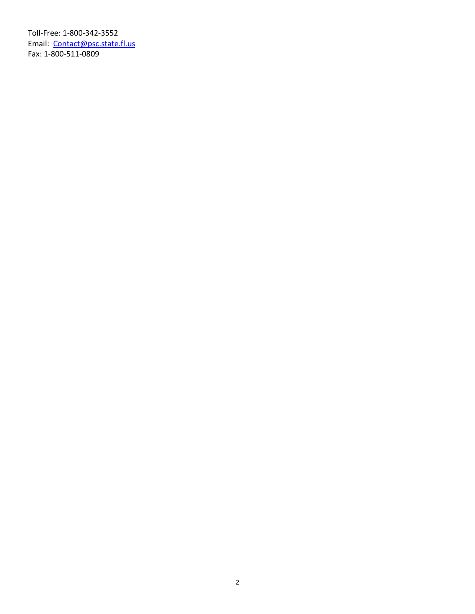Toll-Free: 1-800-342-3552 Email: Contact@psc.state.fl.us Fax: 1-800-511-0809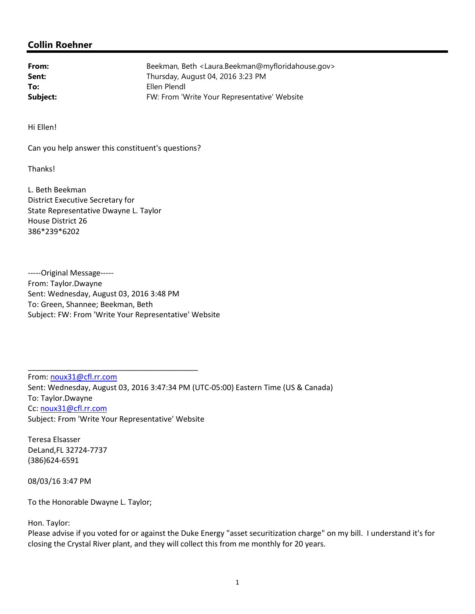## **Collin Roehner**

| From:    | Beekman, Beth <laura.beekman@myfloridahouse.gov></laura.beekman@myfloridahouse.gov> |
|----------|-------------------------------------------------------------------------------------|
| Sent:    | Thursday, August 04, 2016 3:23 PM                                                   |
| To:      | Ellen Plendl                                                                        |
| Subject: | FW: From 'Write Your Representative' Website                                        |

Hi Ellen!

Can you help answer this constituent's questions?

**Thanks!** 

L. Beth Beekman District Executive Secretary for State Representative Dwayne L. Taylor House District 26 386\*239\*6202

-----Original Message----- From: Taylor.Dwayne Sent: Wednesday, August 03, 2016 3:48 PM To: Green, Shannee; Beekman, Beth Subject: FW: From 'Write Your Representative' Website

\_\_\_\_\_\_\_\_\_\_\_\_\_\_\_\_\_\_\_\_\_\_\_\_\_\_\_\_\_\_\_\_\_\_\_\_\_\_\_\_ From: noux31@cfl.rr.com Sent: Wednesday, August 03, 2016 3:47:34 PM (UTC-05:00) Eastern Time (US & Canada) To: Taylor.Dwayne Cc: noux31@cfl.rr.com Subject: From 'Write Your Representative' Website

Teresa Elsasser DeLand,FL 32724-7737 (386)624-6591

08/03/16 3:47 PM

To the Honorable Dwayne L. Taylor;

Hon. Taylor:

Please advise if you voted for or against the Duke Energy "asset securitization charge" on my bill. I understand it's for closing the Crystal River plant, and they will collect this from me monthly for 20 years.